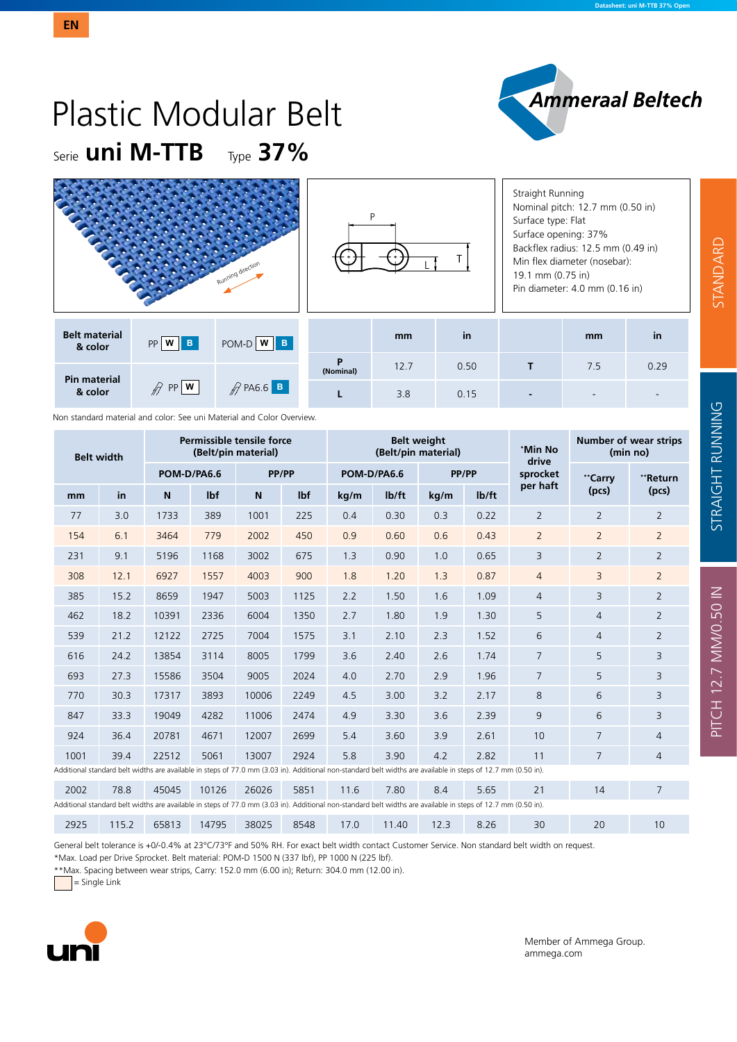# Serie **uni M-TTB** Type **37%** Plastic Modular Belt

|                                 |                                | Running direction            |                |      |      | Straight Running<br>Nominal pitch: 12.7 mm (0.50 in)<br>Surface type: Flat<br>Surface opening: 37%<br>Backflex radius: 12.5 mm (0.49 in)<br>Min flex diameter (nosebar):<br>19.1 mm (0.75 in)<br>Pin diameter: 4.0 mm (0.16 in) |     |      |  |  |
|---------------------------------|--------------------------------|------------------------------|----------------|------|------|---------------------------------------------------------------------------------------------------------------------------------------------------------------------------------------------------------------------------------|-----|------|--|--|
| <b>Belt material</b><br>& color | $PP$ $W$ $B$                   | POM-D W B                    |                | mm   | in   |                                                                                                                                                                                                                                 | mm  | in   |  |  |
| <b>Pin material</b>             | $\mathbb{R}$ PP $ \mathbf{w} $ | $\mathscr{D}$ PA6.6 <b>B</b> | P<br>(Nominal) | 12.7 | 0.50 |                                                                                                                                                                                                                                 | 7.5 | 0.29 |  |  |
| & color                         |                                |                              |                | 3.8  | 0.15 |                                                                                                                                                                                                                                 |     |      |  |  |

|                   | Non standard material and color: See uni Material and Color Overview. |             |                     |                           |                  |             |                    |                                                                                                                                                               |                    |                  |                                          |                |  |  |
|-------------------|-----------------------------------------------------------------------|-------------|---------------------|---------------------------|------------------|-------------|--------------------|---------------------------------------------------------------------------------------------------------------------------------------------------------------|--------------------|------------------|------------------------------------------|----------------|--|--|
| <b>Belt width</b> |                                                                       |             | (Belt/pin material) | Permissible tensile force |                  |             |                    | <b>Belt weight</b><br>(Belt/pin material)                                                                                                                     |                    | *Min No<br>drive | <b>Number of wear strips</b><br>(min no) |                |  |  |
|                   |                                                                       | POM-D/PA6.6 |                     | PP/PP                     |                  | POM-D/PA6.6 |                    | PP/PP                                                                                                                                                         |                    | sprocket         | **Carry                                  | **Return       |  |  |
| mm                | in                                                                    | N           | lbf                 | N                         | I <sub>b</sub> f | kg/m        | I <sub>b</sub> /ft | kg/m                                                                                                                                                          | I <sub>b</sub> /ft | per haft         | (pcs)                                    | (pcs)          |  |  |
| 77                | 3.0                                                                   | 1733        | 389                 | 1001                      | 225              | 0.4         | 0.30               | 0.3                                                                                                                                                           | 0.22               | $\overline{2}$   | $\overline{2}$                           | $\overline{2}$ |  |  |
| 154               | 6.1                                                                   | 3464        | 779                 | 2002                      | 450              | 0.9         | 0.60               | 0.6                                                                                                                                                           | 0.43               | $\overline{2}$   | $\overline{2}$                           | $\overline{2}$ |  |  |
| 231               | 9.1                                                                   | 5196        | 1168                | 3002                      | 675              | 1.3         | 0.90               | 1.0                                                                                                                                                           | 0.65               | 3                | $\overline{2}$                           | $\overline{2}$ |  |  |
| 308               | 12.1                                                                  | 6927        | 1557                | 4003                      | 900              | 1.8         | 1.20               | 1.3                                                                                                                                                           | 0.87               | $\overline{4}$   | 3                                        | $\overline{2}$ |  |  |
| 385               | 15.2                                                                  | 8659        | 1947                | 5003                      | 1125             | 2.2         | 1.50               | 1.6                                                                                                                                                           | 1.09               | $\overline{4}$   | 3                                        | $\overline{2}$ |  |  |
| 462               | 18.2                                                                  | 10391       | 2336                | 6004                      | 1350             | 2.7         | 1.80               | 1.9                                                                                                                                                           | 1.30               | 5                | $\overline{4}$                           | 2              |  |  |
| 539               | 21.2                                                                  | 12122       | 2725                | 7004                      | 1575             | 3.1         | 2.10               | 2.3                                                                                                                                                           | 1.52               | 6                | $\overline{4}$                           | 2              |  |  |
| 616               | 24.2                                                                  | 13854       | 3114                | 8005                      | 1799             | 3.6         | 2.40               | 2.6                                                                                                                                                           | 1.74               | $\overline{7}$   | 5                                        | 3              |  |  |
| 693               | 27.3                                                                  | 15586       | 3504                | 9005                      | 2024             | 4.0         | 2.70               | 2.9                                                                                                                                                           | 1.96               | 7                | 5                                        | 3              |  |  |
| 770               | 30.3                                                                  | 17317       | 3893                | 10006                     | 2249             | 4.5         | 3.00               | 3.2                                                                                                                                                           | 2.17               | 8                | 6                                        | 3              |  |  |
| 847               | 33.3                                                                  | 19049       | 4282                | 11006                     | 2474             | 4.9         | 3.30               | 3.6                                                                                                                                                           | 2.39               | 9                | 6                                        | 3              |  |  |
| 924               | 36.4                                                                  | 20781       | 4671                | 12007                     | 2699             | 5.4         | 3.60               | 3.9                                                                                                                                                           | 2.61               | 10               | $\overline{7}$                           | $\overline{4}$ |  |  |
| 1001              | 39.4                                                                  | 22512       | 5061                | 13007                     | 2924             | 5.8         | 3.90               | 4.2                                                                                                                                                           | 2.82               | 11               | $\overline{7}$                           | $\overline{4}$ |  |  |
|                   |                                                                       |             |                     |                           |                  |             |                    | Additional standard belt widths are available in steps of 77.0 mm (3.03 in). Additional non-standard belt widths are available in steps of 12.7 mm (0.50 in). |                    |                  |                                          |                |  |  |
| 2002              | 78.8                                                                  | 45045       | 10126               | 26026                     | 5851             | 11.6        | 7.80               | 8.4                                                                                                                                                           | 5.65               | 21               | 14                                       | 7              |  |  |
|                   |                                                                       |             |                     |                           |                  |             |                    | Additional standard belt widths are available in steps of 77.0 mm (3.03 in). Additional non-standard belt widths are available in steps of 12.7 mm (0.50 in). |                    |                  |                                          |                |  |  |
| 2925              | 115.2                                                                 | 65813       | 14795               | 38025                     | 8548             | 17.0        | 11.40              | 12.3                                                                                                                                                          | 8.26               | 30               | 20                                       | 10             |  |  |

General belt tolerance is +0/-0.4% at 23°C/73°F and 50% RH. For exact belt width contact Customer Service. Non standard belt width on request.

\*Max. Load per Drive Sprocket. Belt material: POM-D 1500 N (337 lbf), PP 1000 N (225 lbf).

\*\*Max. Spacing between wear strips, Carry: 152.0 mm (6.00 in); Return: 304.0 mm (12.00 in).

= Single Link



Member of Ammega Group. ammega.com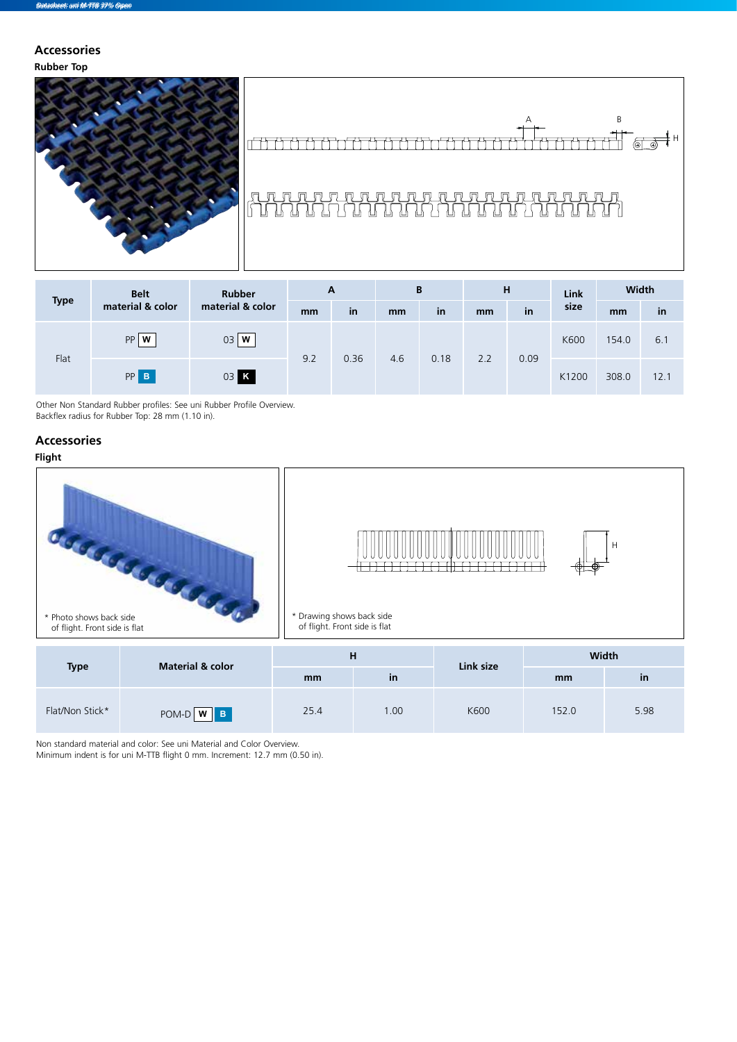#### **Rubber Top Accessories**



## A B <del>H</del>T<br>TIT ⊚T ®T H ╓<del>╎┪┪┍╝┑┍╝┑┍╝┪╶</del>┢╅╌┰┰╌┰<del>╈┪┈┪┪┈┪╝┈┪╝</del>╌┪<del>┷</del>

# 

| <b>Type</b> | <b>Belt</b>      | <b>Rubber</b>    | A   |      | B   |      | н   |      | Link  | Width |      |
|-------------|------------------|------------------|-----|------|-----|------|-----|------|-------|-------|------|
|             | material & color | material & color | mm  | in   | mm  | in   | mm  | in   | size  | mm    | in   |
| Flat        | W<br>PP          | 03<br>W          | 9.2 | 0.36 | 4.6 | 0.18 | 2.2 | 0.09 | K600  | 154.0 | 6.1  |
|             | PP <sub>B</sub>  | 03 K             |     |      |     |      |     |      | K1200 | 308.0 | 12.1 |

Other Non Standard Rubber profiles: See uni Rubber Profile Overview. Backflex radius for Rubber Top: 28 mm (1.10 in).

#### **Accessories**

### **Flight**



| <b>Type</b>     | <b>Material &amp; color</b> | н    |           | Link size | <b>Width</b> |           |  |  |
|-----------------|-----------------------------|------|-----------|-----------|--------------|-----------|--|--|
|                 |                             | mm   | <b>in</b> |           | mm           | <b>in</b> |  |  |
| Flat/Non Stick* | POM-D W B                   | 25.4 | 00.1      | K600      | 152.0        | 5.98      |  |  |

Non standard material and color: See uni Material and Color Overview. Minimum indent is for uni M-TTB flight 0 mm. Increment: 12.7 mm (0.50 in).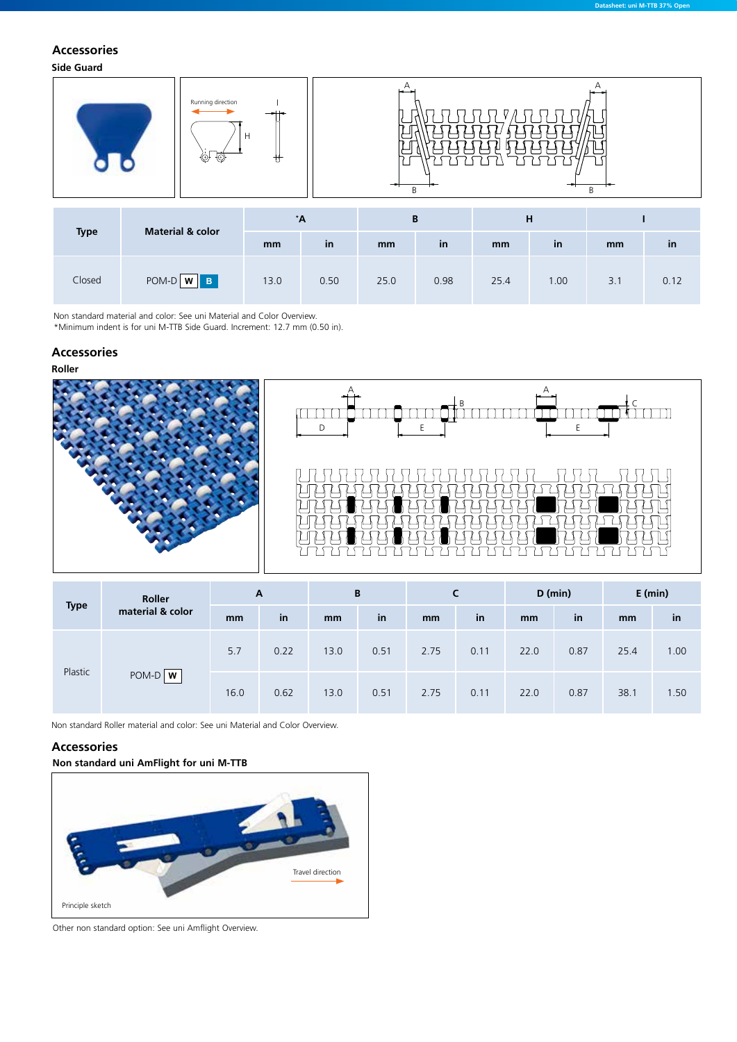### **Accessories**

**Side Guard**



Non standard material and color: See uni Material and Color Overview.

\*Minimum indent is for uni M-TTB Side Guard. Increment: 12.7 mm (0.50 in).

#### **Accessories**





**Datasheet: uni M-TTB 37% Open**

| <b>Type</b> | Roller           | $\mathbf{A}$ |      | B    |      |      | C    | $D$ (min) |      | $E$ (min) |      |
|-------------|------------------|--------------|------|------|------|------|------|-----------|------|-----------|------|
|             | material & color | mm           | in   | mm   | in   | mm   | in   | mm        | in   | mm        | in   |
| Plastic     |                  | 5.7          | 0.22 | 13.0 | 0.51 | 2.75 | 0.11 | 22.0      | 0.87 | 25.4      | 1.00 |
|             | POM-D <b>W</b>   | 16.0         | 0.62 | 13.0 | 0.51 | 2.75 | 0.11 | 22.0      | 0.87 | 38.1      | 1.50 |

Non standard Roller material and color: See uni Material and Color Overview.

#### **Accessories**

**Non standard uni AmFlight for uni M-TTB**



Other non standard option: See uni Amflight Overview.